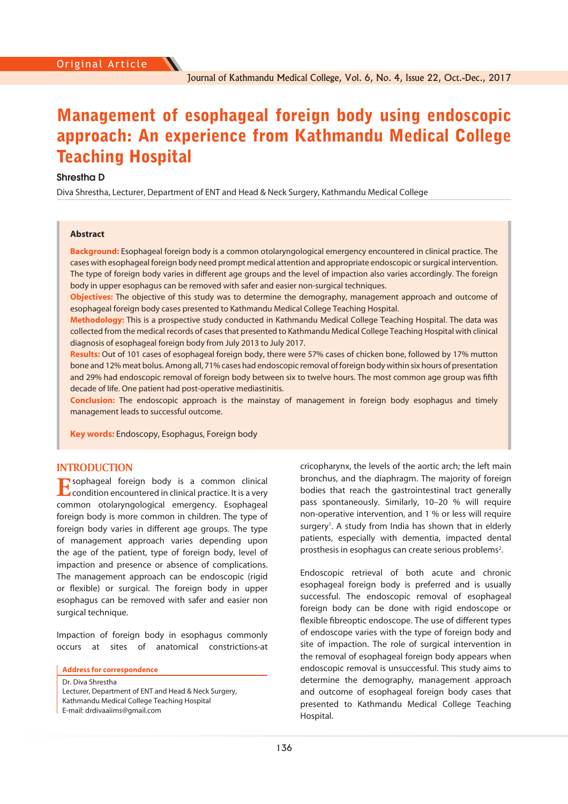# Management of esophageal foreign body using endoscopic approach: An experience from Kathmandu Medical College Teaching Hospital

## **Shrestha D**

Diva Shrestha, Lecturer, Department of ENT and Head & Neck Surgery, Kathmandu Medical College

## **Abstract**

**Background:** Esophageal foreign body is a common otolaryngological emergency encountered in clinical practice. The cases with esophageal foreign body need prompt medical attention and appropriate endoscopic or surgical intervention. The type of foreign body varies in different age groups and the level of impaction also varies accordingly. The foreign body in upper esophagus can be removed with safer and easier non-surgical techniques.

**Objectives:** The objective of this study was to determine the demography, management approach and outcome of esophageal foreign body cases presented to Kathmandu Medical College Teaching Hospital.

**Methodology:** This is a prospective study conducted in Kathmandu Medical College Teaching Hospital. The data was collected from the medical records of cases that presented to Kathmandu Medical College Teaching Hospital with clinical diagnosis of esophageal foreign body from July 2013 to July 2017.

**Results:** Out of 101 cases of esophageal foreign body, there were 57% cases of chicken bone, followed by 17% mutton bone and 12% meat bolus. Among all, 71% cases had endoscopic removal of foreign body within six hours of presentation and 29% had endoscopic removal of foreign body between six to twelve hours. The most common age group was fifth decade of life. One patient had post-operative mediastinitis.

**Conclusion:** The endoscopic approach is the mainstay of management in foreign body esophagus and timely management leads to successful outcome.

**Key words:** Endoscopy, Esophagus, Foreign body

## **INTRODUCTION**

**E**sophageal foreign body is a common clinical  $\mathbf \Sigma$  condition encountered in clinical practice. It is a very common otolaryngological emergency. Esophageal foreign body is more common in children. The type of foreign body varies in different age groups. The type of management approach varies depending upon the age of the patient, type of foreign body, level of impaction and presence or absence of complications. The management approach can be endoscopic (rigid or flexible) or surgical. The foreign body in upper esophagus can be removed with safer and easier non surgical technique.

Impaction of foreign body in esophagus commonly occurs at sites of anatomical constrictions-at

**Address for correspondence** 

Dr. Diva Shrestha Lecturer, Department of ENT and Head & Neck Surgery, Kathmandu Medical College Teaching Hospital E-mail: drdivaaiims@gmail.com

cricopharynx, the levels of the aortic arch; the left main bronchus, and the diaphragm. The majority of foreign bodies that reach the gastrointestinal tract generally pass spontaneously. Similarly, 10–20 % will require non-operative intervention, and 1 % or less will require surgery<sup>1</sup>. A study from India has shown that in elderly patients, especially with dementia, impacted dental prosthesis in esophagus can create serious problems<sup>2</sup>.

Endoscopic retrieval of both acute and chronic esophageal foreign body is preferred and is usually successful. The endoscopic removal of esophageal foreign body can be done with rigid endoscope or flexible fibreoptic endoscope. The use of different types of endoscope varies with the type of foreign body and site of impaction. The role of surgical intervention in the removal of esophageal foreign body appears when endoscopic removal is unsuccessful. This study aims to determine the demography, management approach and outcome of esophageal foreign body cases that presented to Kathmandu Medical College Teaching Hospital.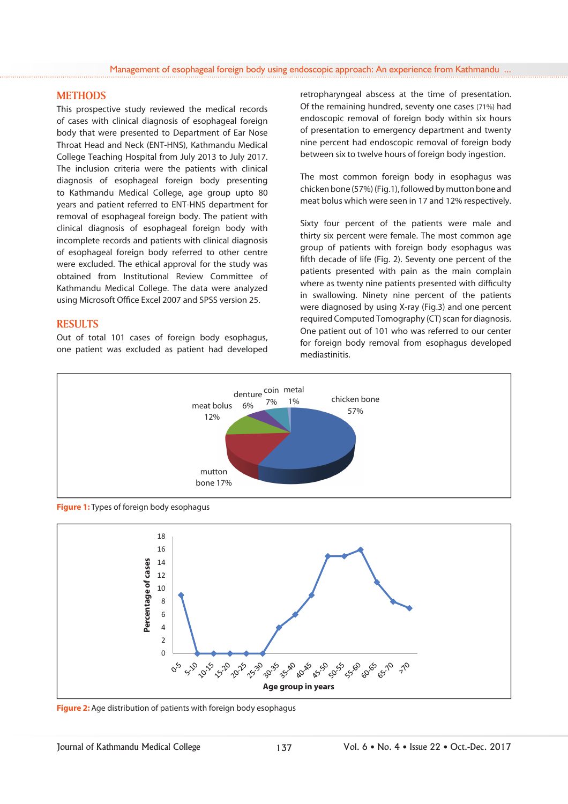## **METHODS**

This prospective study reviewed the medical records of cases with clinical diagnosis of esophageal foreign body that were presented to Department of Ear Nose Throat Head and Neck (ENT-HNS), Kathmandu Medical College Teaching Hospital from July 2013 to July 2017. The inclusion criteria were the patients with clinical diagnosis of esophageal foreign body presenting to Kathmandu Medical College, age group upto 80 years and patient referred to ENT-HNS department for removal of esophageal foreign body. The patient with clinical diagnosis of esophageal foreign body with incomplete records and patients with clinical diagnosis of esophageal foreign body referred to other centre were excluded. The ethical approval for the study was obtained from Institutional Review Committee of Kathmandu Medical College. The data were analyzed using Microsoft Office Excel 2007 and SPSS version 25.

# **RESULTS**

Out of total 101 cases of foreign body esophagus, one patient was excluded as patient had developed retropharyngeal abscess at the time of presentation. Of the remaining hundred, seventy one cases (71%) had endoscopic removal of foreign body within six hours of presentation to emergency department and twenty nine percent had endoscopic removal of foreign body between six to twelve hours of foreign body ingestion.

The most common foreign body in esophagus was chicken bone (57%) (Fig.1), followed by mutton bone and meat bolus which were seen in 17 and 12% respectively.

Sixty four percent of the patients were male and thirty six percent were female. The most common age group of patients with foreign body esophagus was fifth decade of life (Fig. 2). Seventy one percent of the patients presented with pain as the main complain where as twenty nine patients presented with difficulty in swallowing. Ninety nine percent of the patients were diagnosed by using X-ray (Fig.3) and one percent required Computed Tomography (CT) scan for diagnosis. One patient out of 101 who was referred to our center for foreign body removal from esophagus developed mediastinitis.



**Figure 1:** Types of foreign body esophagus



**Figure 2:** Age distribution of patients with foreign body esophagus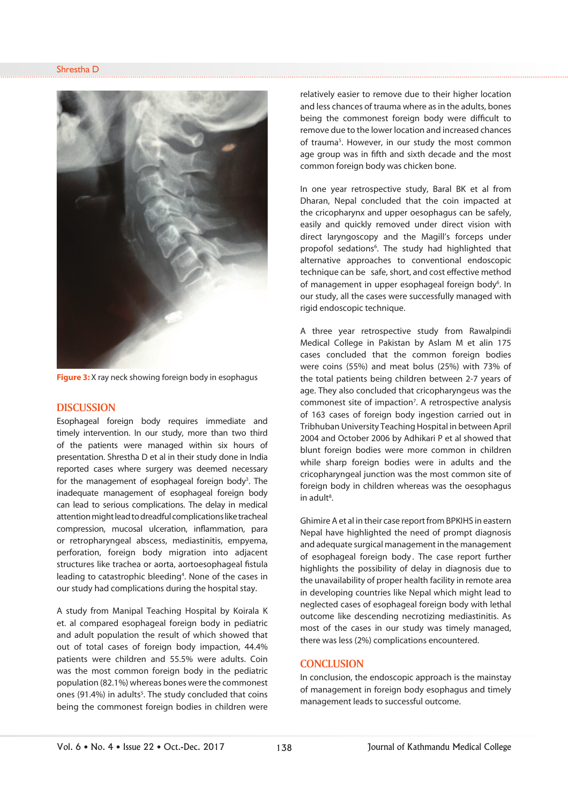

**Figure 3:** X ray neck showing foreign body in esophagus

#### **DISCUSSION**

Esophageal foreign body requires immediate and timely intervention. In our study, more than two third of the patients were managed within six hours of presentation. Shrestha D et al in their study done in India reported cases where surgery was deemed necessary for the management of esophageal foreign body<sup>3</sup>. The inadequate management of esophageal foreign body can lead to serious complications. The delay in medical attention might lead to dreadful complications like tracheal compression, mucosal ulceration, inflammation, para or retropharyngeal abscess, mediastinitis, empyema, perforation, foreign body migration into adjacent structures like trachea or aorta, aortoesophageal fistula leading to catastrophic bleeding<sup>4</sup>. None of the cases in our study had complications during the hospital stay.

A study from Manipal Teaching Hospital by Koirala K et. al compared esophageal foreign body in pediatric and adult population the result of which showed that out of total cases of foreign body impaction, 44.4% patients were children and 55.5% were adults. Coin was the most common foreign body in the pediatric population (82.1%) whereas bones were the commonest ones (91.4%) in adults<sup>5</sup>. The study concluded that coins being the commonest foreign bodies in children were

relatively easier to remove due to their higher location and less chances of trauma where as in the adults, bones being the commonest foreign body were difficult to remove due to the lower location and increased chances of trauma<sup>5</sup>. However, in our study the most common age group was in fifth and sixth decade and the most common foreign body was chicken bone.

In one year retrospective study, Baral BK et al from Dharan, Nepal concluded that the coin impacted at the cricopharynx and upper oesophagus can be safely, easily and quickly removed under direct vision with direct laryngoscopy and the Magill's forceps under propofol sedations<sup>6</sup>. The study had highlighted that alternative approaches to conventional endoscopic technique can be safe, short, and cost effective method of management in upper esophageal foreign body<sup>6</sup>. In our study, all the cases were successfully managed with rigid endoscopic technique.

A three year retrospective study from Rawalpindi Medical College in Pakistan by Aslam M et alin 175 cases concluded that the common foreign bodies were coins (55%) and meat bolus (25%) with 73% of the total patients being children between 2-7 years of age. They also concluded that cricopharyngeus was the commonest site of impaction<sup>7</sup>. A retrospective analysis of 163 cases of foreign body ingestion carried out in Tribhuban University Teaching Hospital in between April 2004 and October 2006 by Adhikari P et al showed that blunt foreign bodies were more common in children while sharp foreign bodies were in adults and the cricopharyngeal junction was the most common site of foreign body in children whereas was the oesophagus in adult<sup>8</sup>.

Ghimire A et al in their case report from BPKIHS in eastern Nepal have highlighted the need of prompt diagnosis and adequate surgical management in the management of esophageal foreign body . The case report further highlights the possibility of delay in diagnosis due to the unavailability of proper health facility in remote area in developing countries like Nepal which might lead to neglected cases of esophageal foreign body with lethal outcome like descending necrotizing mediastinitis. As most of the cases in our study was timely managed, there was less (2%) complications encountered.

#### **CONCLUSION**

In conclusion, the endoscopic approach is the mainstay of management in foreign body esophagus and timely management leads to successful outcome.